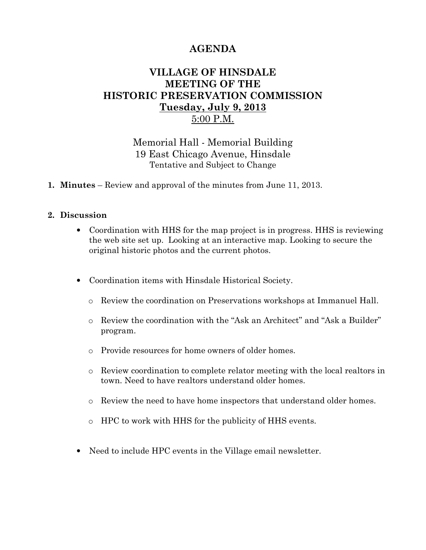# AGENDA

## VILLAGE OF HINSDALE MEETING OF THE HISTORIC PRESERVATION COMMISSION Tuesday, July 9, 2013 5:00 P.M.

Memorial Hall - Memorial Building 19 East Chicago Avenue, Hinsdale Tentative and Subject to Change

1. Minutes – Review and approval of the minutes from June 11, 2013.

#### 2. Discussion

- Coordination with HHS for the map project is in progress. HHS is reviewing the web site set up. Looking at an interactive map. Looking to secure the original historic photos and the current photos.
- Coordination items with Hinsdale Historical Society.
	- o Review the coordination on Preservations workshops at Immanuel Hall.
	- o Review the coordination with the "Ask an Architect" and "Ask a Builder" program.
	- o Provide resources for home owners of older homes.
	- o Review coordination to complete relator meeting with the local realtors in town. Need to have realtors understand older homes.
	- o Review the need to have home inspectors that understand older homes.
	- o HPC to work with HHS for the publicity of HHS events.
- Need to include HPC events in the Village email newsletter.